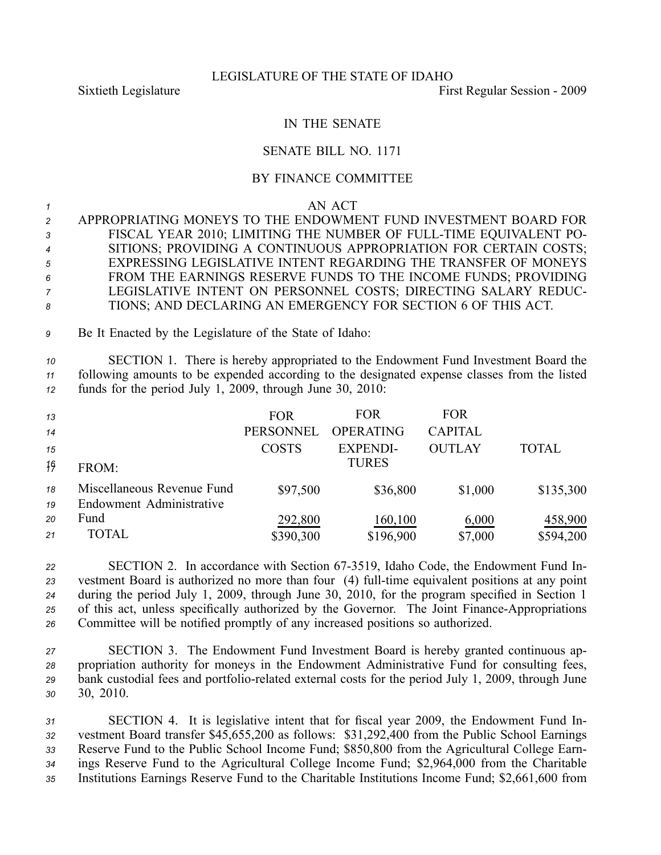## LEGISLATURE OF THE STATE OF IDAHO

Sixtieth Legislature **First** Regular Session - 2009

# IN THE SENATE

## SENATE BILL NO. 1171

#### BY FINANCE COMMITTEE

#### *1* AN ACT

| $\mathcal{P}$  | APPROPRIATING MONEYS TO THE ENDOWMENT FUND INVESTMENT BOARD FOR   |
|----------------|-------------------------------------------------------------------|
| $\mathbf{3}$   | FISCAL YEAR 2010; LIMITING THE NUMBER OF FULL-TIME EQUIVALENT PO- |
| $\overline{4}$ | SITIONS; PROVIDING A CONTINUOUS APPROPRIATION FOR CERTAIN COSTS;  |
| 5              | EXPRESSING LEGISLATIVE INTENT REGARDING THE TRANSFER OF MONEYS    |
| 6              | FROM THE EARNINGS RESERVE FUNDS TO THE INCOME FUNDS; PROVIDING    |
| $\overline{7}$ | LEGISLATIVE INTENT ON PERSONNEL COSTS; DIRECTING SALARY REDUC-    |
| -8             | TIONS: AND DECLARING AN EMERGENCY FOR SECTION 6 OF THIS ACT.      |

*<sup>9</sup>* Be It Enacted by the Legislature of the State of Idaho:

*<sup>10</sup>* SECTION 1. There is hereby appropriated to the Endowment Fund Investment Board the *<sup>11</sup>* following amounts to be expended according to the designated expense classes from the listed *<sup>12</sup>* funds for the period July 1, 2009, through June 30, 2010:

| 13 |                            | <b>FOR</b>       | <b>FOR</b>       | <b>FOR</b>     |              |
|----|----------------------------|------------------|------------------|----------------|--------------|
| 14 |                            | <b>PERSONNEL</b> | <b>OPERATING</b> | <b>CAPITAL</b> |              |
| 15 |                            | <b>COSTS</b>     | <b>EXPENDI-</b>  | <b>OUTLAY</b>  | <b>TOTAL</b> |
| 19 | FROM:                      |                  | <b>TURES</b>     |                |              |
| 18 | Miscellaneous Revenue Fund | \$97,500         | \$36,800         | \$1,000        | \$135,300    |
| 19 | Endowment Administrative   |                  |                  |                |              |
| 20 | Fund                       | 292,800          | 160,100          | 6,000          | 458,900      |
| 21 | <b>TOTAL</b>               | \$390,300        | \$196,900        | \$7,000        | \$594,200    |

 SECTION 2. In accordance with Section 673519, Idaho Code, the Endowment Fund In- vestment Board is authorized no more than four (4) full-time equivalent positions at any point during the period July 1, 2009, through June 30, 2010, for the program specified in Section 1 25 of this act, unless specifically authorized by the Governor. The Joint Finance-Appropriations Committee will be notified promptly of any increased positions so authorized.

 SECTION 3. The Endowment Fund Investment Board is hereby granted continuous ap- propriation authority for moneys in the Endowment Administrative Fund for consulting fees, 29 bank custodial fees and portfolio-related external costs for the period July 1, 2009, through June 30, 2010.

 SECTION 4. It is legislative intent that for fiscal year 2009, the Endowment Fund In- vestment Board transfer \$45,655,200 as follows: \$31,292,400 from the Public School Earnings Reserve Fund to the Public School Income Fund; \$850,800 from the Agricultural College Earn- ings Reserve Fund to the Agricultural College Income Fund; \$2,964,000 from the Charitable Institutions Earnings Reserve Fund to the Charitable Institutions Income Fund; \$2,661,600 from